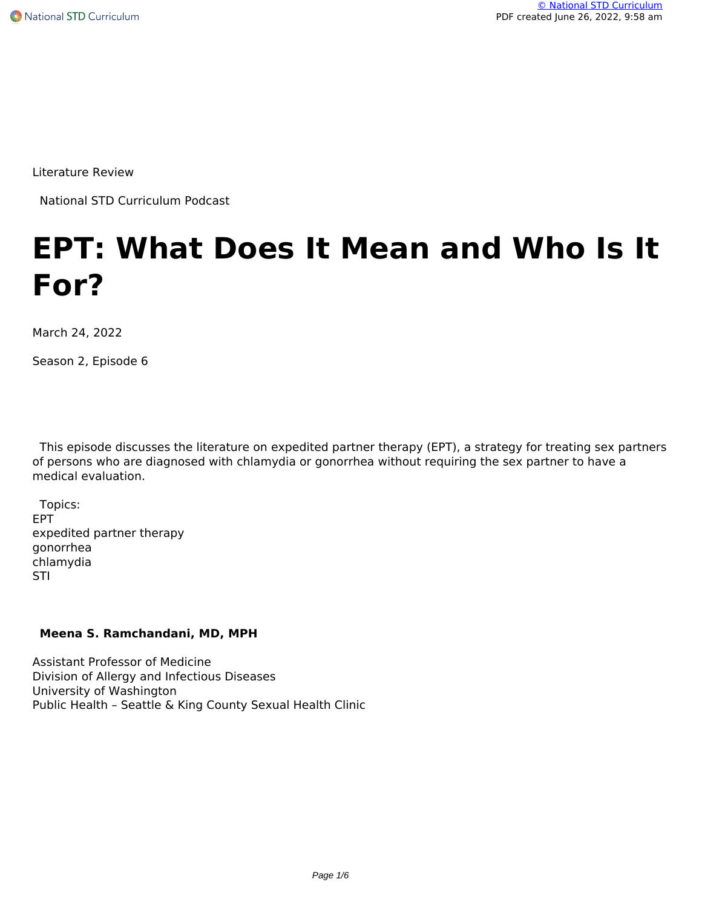Literature Review

National STD Curriculum Podcast

# **EPT: What Does It Mean and Who Is It For?**

March 24, 2022

Season 2, Episode 6

 This episode discusses the literature on expedited partner therapy (EPT), a strategy for treating sex partners of persons who are diagnosed with chlamydia or gonorrhea without requiring the sex partner to have a medical evaluation.

 Topics: EPT expedited partner therapy gonorrhea chlamydia STI

# **Meena S. Ramchandani, MD, MPH**

Assistant Professor of Medicine Division of Allergy and Infectious Diseases University of Washington Public Health – Seattle & King County Sexual Health Clinic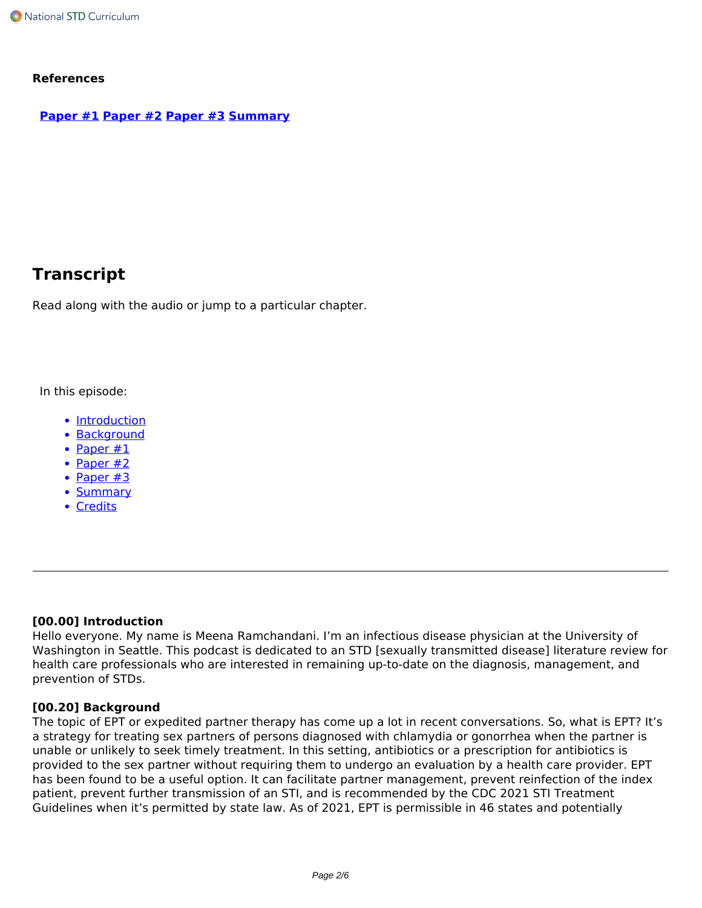#### **References**

#### **[Paper #1](https://pubmed.ncbi.nlm.nih.gov/15716561/) [Paper #2](https://pubmed.ncbi.nlm.nih.gov/32149956/) [Paper #3](https://pubmed.ncbi.nlm.nih.gov/34420818/) [Summary](https://pubmed.ncbi.nlm.nih.gov/26771402/)**

# **Transcript**

Read along with the audio or jump to a particular chapter.

In this episode:

- Introduction
- Background
- Paper #1
- Paper #2
- Paper  $#3$
- Summary
- Credits

#### **[00.00] Introduction**

Hello everyone. My name is Meena Ramchandani. I'm an infectious disease physician at the University of Washington in Seattle. This podcast is dedicated to an STD [sexually transmitted disease] literature review for health care professionals who are interested in remaining up-to-date on the diagnosis, management, and prevention of STDs.

#### **[00.20] Background**

The topic of EPT or expedited partner therapy has come up a lot in recent conversations. So, what is EPT? It's a strategy for treating sex partners of persons diagnosed with chlamydia or gonorrhea when the partner is unable or unlikely to seek timely treatment. In this setting, antibiotics or a prescription for antibiotics is provided to the sex partner without requiring them to undergo an evaluation by a health care provider. EPT has been found to be a useful option. It can facilitate partner management, prevent reinfection of the index patient, prevent further transmission of an STI, and is recommended by the CDC 2021 STI Treatment Guidelines when it's permitted by state law. As of 2021, EPT is permissible in 46 states and potentially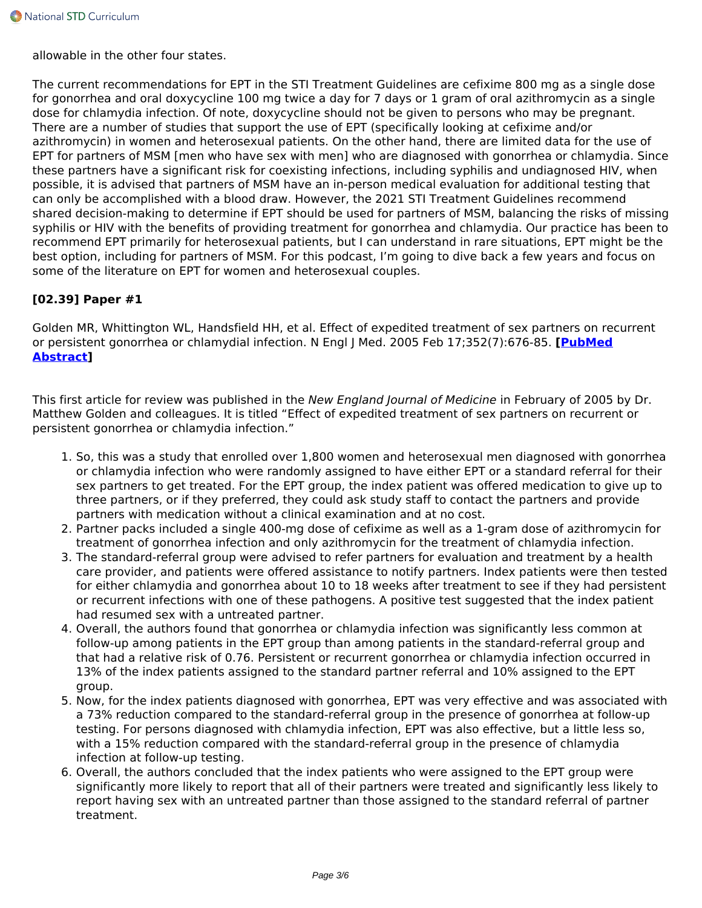allowable in the other four states.

The current recommendations for EPT in the STI Treatment Guidelines are cefixime 800 mg as a single dose for gonorrhea and oral doxycycline 100 mg twice a day for 7 days or 1 gram of oral azithromycin as a single dose for chlamydia infection. Of note, doxycycline should not be given to persons who may be pregnant. There are a number of studies that support the use of EPT (specifically looking at cefixime and/or azithromycin) in women and heterosexual patients. On the other hand, there are limited data for the use of EPT for partners of MSM [men who have sex with men] who are diagnosed with gonorrhea or chlamydia. Since these partners have a significant risk for coexisting infections, including syphilis and undiagnosed HIV, when possible, it is advised that partners of MSM have an in-person medical evaluation for additional testing that can only be accomplished with a blood draw. However, the 2021 STI Treatment Guidelines recommend shared decision-making to determine if EPT should be used for partners of MSM, balancing the risks of missing syphilis or HIV with the benefits of providing treatment for gonorrhea and chlamydia. Our practice has been to recommend EPT primarily for heterosexual patients, but I can understand in rare situations, EPT might be the best option, including for partners of MSM. For this podcast, I'm going to dive back a few years and focus on some of the literature on EPT for women and heterosexual couples.

# **[02.39] Paper #1**

Golden MR, Whittington WL, Handsfield HH, et al. Effect of expedited treatment of sex partners on recurrent or persistent gonorrhea or chlamydial infection. N Engl J Med. 2005 Feb 17;352(7):676-85. **[\[PubMed](https://pubmed.ncbi.nlm.nih.gov/15716561/) [Abstract](https://pubmed.ncbi.nlm.nih.gov/15716561/)]**

This first article for review was published in the *New England Journal of Medicine* in February of 2005 by Dr. Matthew Golden and colleagues. It is titled "Effect of expedited treatment of sex partners on recurrent or persistent gonorrhea or chlamydia infection."

- 1. So, this was a study that enrolled over 1,800 women and heterosexual men diagnosed with gonorrhea or chlamydia infection who were randomly assigned to have either EPT or a standard referral for their sex partners to get treated. For the EPT group, the index patient was offered medication to give up to three partners, or if they preferred, they could ask study staff to contact the partners and provide partners with medication without a clinical examination and at no cost.
- 2. Partner packs included a single 400-mg dose of cefixime as well as a 1-gram dose of azithromycin for treatment of gonorrhea infection and only azithromycin for the treatment of chlamydia infection.
- 3. The standard-referral group were advised to refer partners for evaluation and treatment by a health care provider, and patients were offered assistance to notify partners. Index patients were then tested for either chlamydia and gonorrhea about 10 to 18 weeks after treatment to see if they had persistent or recurrent infections with one of these pathogens. A positive test suggested that the index patient had resumed sex with a untreated partner.
- 4. Overall, the authors found that gonorrhea or chlamydia infection was significantly less common at follow-up among patients in the EPT group than among patients in the standard-referral group and that had a relative risk of 0.76. Persistent or recurrent gonorrhea or chlamydia infection occurred in 13% of the index patients assigned to the standard partner referral and 10% assigned to the EPT group.
- 5. Now, for the index patients diagnosed with gonorrhea, EPT was very effective and was associated with a 73% reduction compared to the standard-referral group in the presence of gonorrhea at follow-up testing. For persons diagnosed with chlamydia infection, EPT was also effective, but a little less so, with a 15% reduction compared with the standard-referral group in the presence of chlamydia infection at follow-up testing.
- 6. Overall, the authors concluded that the index patients who were assigned to the EPT group were significantly more likely to report that all of their partners were treated and significantly less likely to report having sex with an untreated partner than those assigned to the standard referral of partner treatment.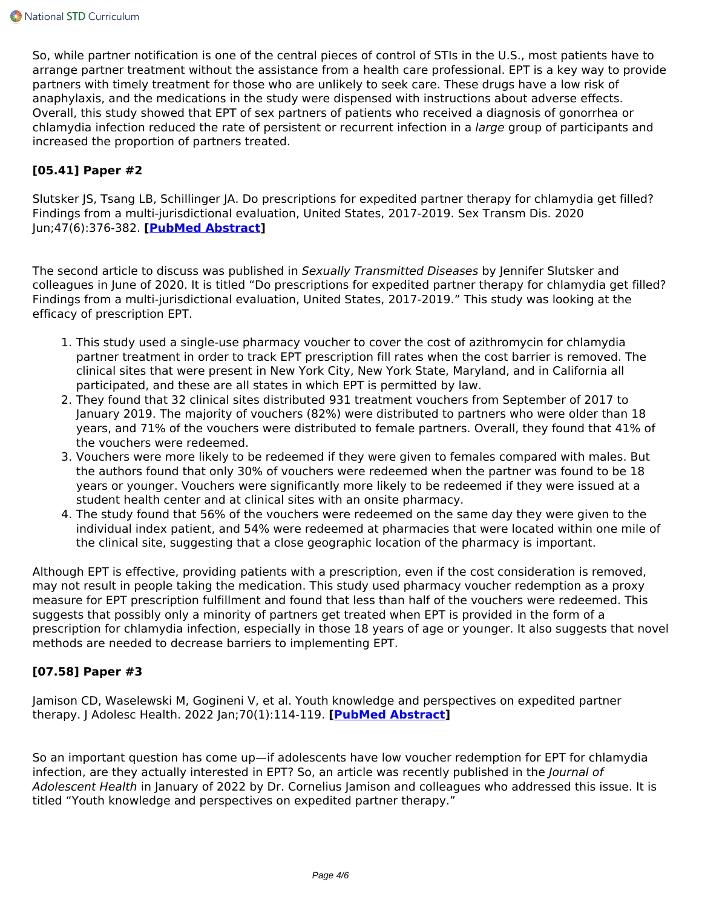So, while partner notification is one of the central pieces of control of STIs in the U.S., most patients have to arrange partner treatment without the assistance from a health care professional. EPT is a key way to provide partners with timely treatment for those who are unlikely to seek care. These drugs have a low risk of anaphylaxis, and the medications in the study were dispensed with instructions about adverse effects. Overall, this study showed that EPT of sex partners of patients who received a diagnosis of gonorrhea or chlamydia infection reduced the rate of persistent or recurrent infection in a *large* group of participants and increased the proportion of partners treated.

#### **[05.41] Paper #2**

Slutsker JS, Tsang LB, Schillinger JA. Do prescriptions for expedited partner therapy for chlamydia get filled? Findings from a multi-jurisdictional evaluation, United States, 2017-2019. Sex Transm Dis. 2020 Jun;47(6):376-382. **[\[PubMed Abstract](https://pubmed.ncbi.nlm.nih.gov/32149956/)]**

The second article to discuss was published in *Sexually Transmitted Diseases* by Jennifer Slutsker and colleagues in June of 2020. It is titled "Do prescriptions for expedited partner therapy for chlamydia get filled? Findings from a multi-jurisdictional evaluation, United States, 2017-2019." This study was looking at the efficacy of prescription EPT.

- 1. This study used a single-use pharmacy voucher to cover the cost of azithromycin for chlamydia partner treatment in order to track EPT prescription fill rates when the cost barrier is removed. The clinical sites that were present in New York City, New York State, Maryland, and in California all participated, and these are all states in which EPT is permitted by law.
- 2. They found that 32 clinical sites distributed 931 treatment vouchers from September of 2017 to January 2019. The majority of vouchers (82%) were distributed to partners who were older than 18 years, and 71% of the vouchers were distributed to female partners. Overall, they found that 41% of the vouchers were redeemed.
- 3. Vouchers were more likely to be redeemed if they were given to females compared with males. But the authors found that only 30% of vouchers were redeemed when the partner was found to be 18 years or younger. Vouchers were significantly more likely to be redeemed if they were issued at a student health center and at clinical sites with an onsite pharmacy.
- 4. The study found that 56% of the vouchers were redeemed on the same day they were given to the individual index patient, and 54% were redeemed at pharmacies that were located within one mile of the clinical site, suggesting that a close geographic location of the pharmacy is important.

Although EPT is effective, providing patients with a prescription, even if the cost consideration is removed, may not result in people taking the medication. This study used pharmacy voucher redemption as a proxy measure for EPT prescription fulfillment and found that less than half of the vouchers were redeemed. This suggests that possibly only a minority of partners get treated when EPT is provided in the form of a prescription for chlamydia infection, especially in those 18 years of age or younger. It also suggests that novel methods are needed to decrease barriers to implementing EPT.

#### **[07.58] Paper #3**

Jamison CD, Waselewski M, Gogineni V, et al. Youth knowledge and perspectives on expedited partner therapy. J Adolesc Health. 2022 Jan;70(1):114-119. **[\[PubMed Abstract](https://pubmed.ncbi.nlm.nih.gov/34420818/)]**

So an important question has come up—if adolescents have low voucher redemption for EPT for chlamydia infection, are they actually interested in EPT? So, an article was recently published in the *Journal of Adolescent Health* in January of 2022 by Dr. Cornelius Jamison and colleagues who addressed this issue. It is titled "Youth knowledge and perspectives on expedited partner therapy."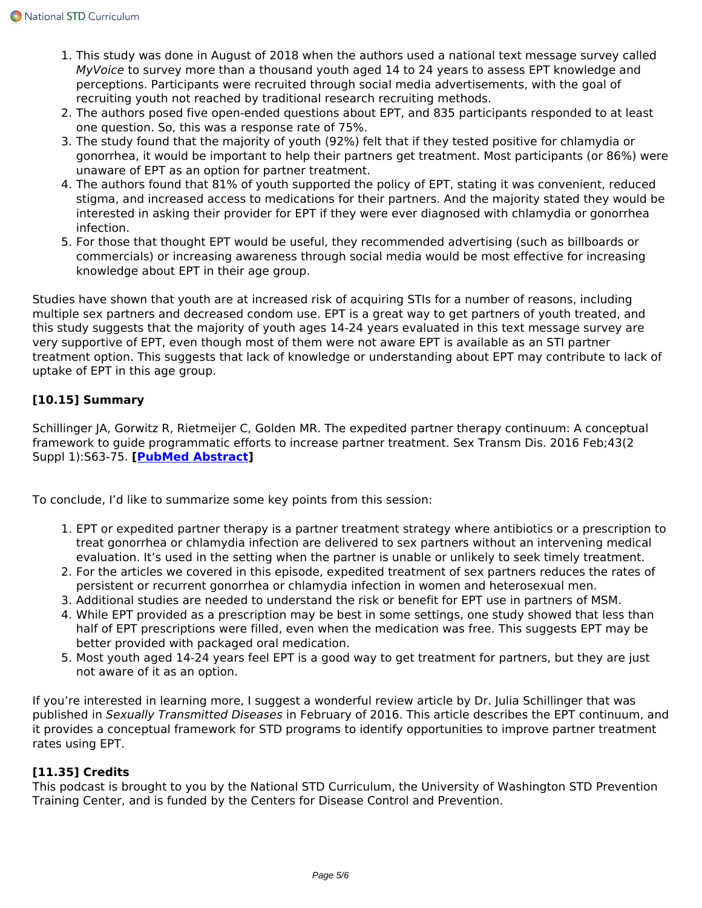- 1. This study was done in August of 2018 when the authors used a national text message survey called *MyVoice* to survey more than a thousand youth aged 14 to 24 years to assess EPT knowledge and perceptions. Participants were recruited through social media advertisements, with the goal of recruiting youth not reached by traditional research recruiting methods.
- 2. The authors posed five open-ended questions about EPT, and 835 participants responded to at least one question. So, this was a response rate of 75%.
- 3. The study found that the majority of youth (92%) felt that if they tested positive for chlamydia or gonorrhea, it would be important to help their partners get treatment. Most participants (or 86%) were unaware of EPT as an option for partner treatment.
- 4. The authors found that 81% of youth supported the policy of EPT, stating it was convenient, reduced stigma, and increased access to medications for their partners. And the majority stated they would be interested in asking their provider for EPT if they were ever diagnosed with chlamydia or gonorrhea infection.
- 5. For those that thought EPT would be useful, they recommended advertising (such as billboards or commercials) or increasing awareness through social media would be most effective for increasing knowledge about EPT in their age group.

Studies have shown that youth are at increased risk of acquiring STIs for a number of reasons, including multiple sex partners and decreased condom use. EPT is a great way to get partners of youth treated, and this study suggests that the majority of youth ages 14-24 years evaluated in this text message survey are very supportive of EPT, even though most of them were not aware EPT is available as an STI partner treatment option. This suggests that lack of knowledge or understanding about EPT may contribute to lack of uptake of EPT in this age group.

# **[10.15] Summary**

Schillinger JA, Gorwitz R, Rietmeijer C, Golden MR. The expedited partner therapy continuum: A conceptual framework to guide programmatic efforts to increase partner treatment. Sex Transm Dis. 2016 Feb;43(2 Suppl 1):S63-75. **[[PubMed Abstract\]](https://pubmed.ncbi.nlm.nih.gov/26771402/)**

To conclude, I'd like to summarize some key points from this session:

- 1. EPT or expedited partner therapy is a partner treatment strategy where antibiotics or a prescription to treat gonorrhea or chlamydia infection are delivered to sex partners without an intervening medical evaluation. It's used in the setting when the partner is unable or unlikely to seek timely treatment.
- 2. For the articles we covered in this episode, expedited treatment of sex partners reduces the rates of persistent or recurrent gonorrhea or chlamydia infection in women and heterosexual men.
- 3. Additional studies are needed to understand the risk or benefit for EPT use in partners of MSM.
- 4. While EPT provided as a prescription may be best in some settings, one study showed that less than half of EPT prescriptions were filled, even when the medication was free. This suggests EPT may be better provided with packaged oral medication.
- 5. Most youth aged 14-24 years feel EPT is a good way to get treatment for partners, but they are just not aware of it as an option.

If you're interested in learning more, I suggest a wonderful review article by Dr. Julia Schillinger that was published in *Sexually Transmitted Diseases* in February of 2016. This article describes the EPT continuum, and it provides a conceptual framework for STD programs to identify opportunities to improve partner treatment rates using EPT.

# **[11.35] Credits**

This podcast is brought to you by the National STD Curriculum, the University of Washington STD Prevention Training Center, and is funded by the Centers for Disease Control and Prevention.